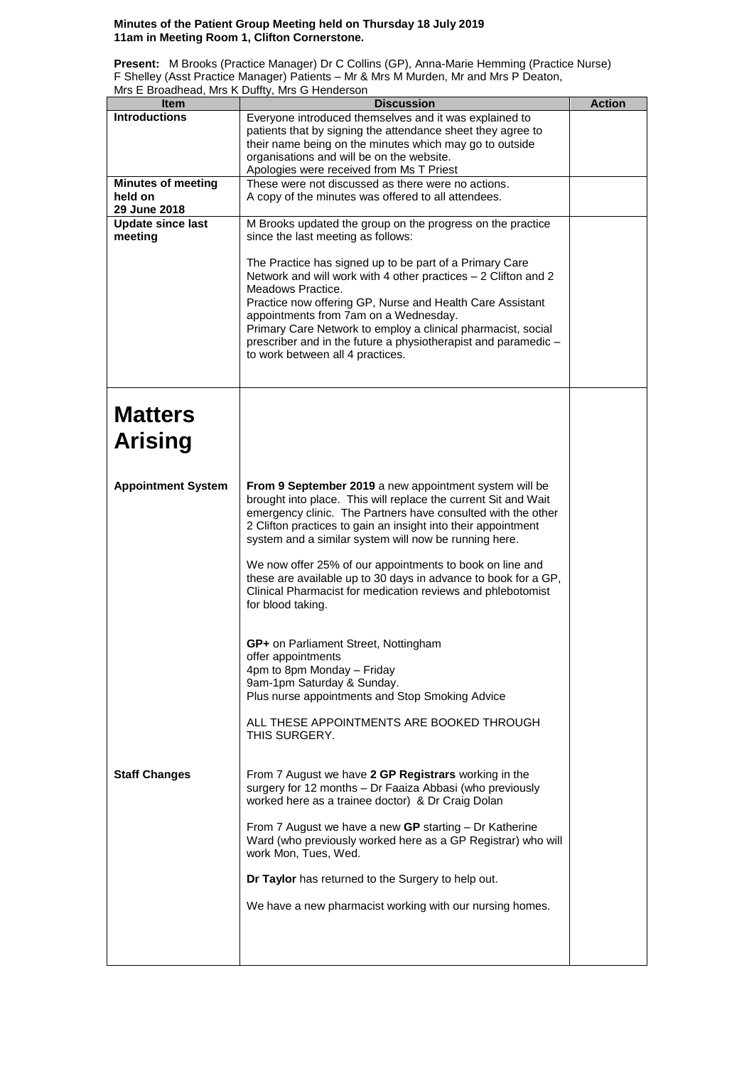## **Minutes of the Patient Group Meeting held on Thursday 18 July 2019 11am in Meeting Room 1, Clifton Cornerstone.**

**Present:** M Brooks (Practice Manager) Dr C Collins (GP), Anna-Marie Hemming (Practice Nurse) F Shelley (Asst Practice Manager) Patients – Mr & Mrs M Murden, Mr and Mrs P Deaton, Mrs E Broadhead, Mrs K Duffty, Mrs G Henderson

| Item                      | <b>Discussion</b>                                                                                                             | <b>Action</b> |
|---------------------------|-------------------------------------------------------------------------------------------------------------------------------|---------------|
| <b>Introductions</b>      | Everyone introduced themselves and it was explained to                                                                        |               |
|                           | patients that by signing the attendance sheet they agree to                                                                   |               |
|                           | their name being on the minutes which may go to outside                                                                       |               |
|                           | organisations and will be on the website.<br>Apologies were received from Ms T Priest                                         |               |
| <b>Minutes of meeting</b> | These were not discussed as there were no actions.                                                                            |               |
| held on                   | A copy of the minutes was offered to all attendees.                                                                           |               |
| 29 June 2018              |                                                                                                                               |               |
| <b>Update since last</b>  | M Brooks updated the group on the progress on the practice                                                                    |               |
| meeting                   | since the last meeting as follows:                                                                                            |               |
|                           | The Practice has signed up to be part of a Primary Care                                                                       |               |
|                           | Network and will work with 4 other practices - 2 Clifton and 2                                                                |               |
|                           | Meadows Practice.                                                                                                             |               |
|                           | Practice now offering GP, Nurse and Health Care Assistant                                                                     |               |
|                           | appointments from 7am on a Wednesday.                                                                                         |               |
|                           | Primary Care Network to employ a clinical pharmacist, social                                                                  |               |
|                           | prescriber and in the future a physiotherapist and paramedic -<br>to work between all 4 practices.                            |               |
|                           |                                                                                                                               |               |
|                           |                                                                                                                               |               |
|                           |                                                                                                                               |               |
| <b>Matters</b>            |                                                                                                                               |               |
|                           |                                                                                                                               |               |
| <b>Arising</b>            |                                                                                                                               |               |
|                           |                                                                                                                               |               |
|                           |                                                                                                                               |               |
| <b>Appointment System</b> | From 9 September 2019 a new appointment system will be                                                                        |               |
|                           | brought into place. This will replace the current Sit and Wait                                                                |               |
|                           | emergency clinic. The Partners have consulted with the other<br>2 Clifton practices to gain an insight into their appointment |               |
|                           | system and a similar system will now be running here.                                                                         |               |
|                           |                                                                                                                               |               |
|                           | We now offer 25% of our appointments to book on line and                                                                      |               |
|                           | these are available up to 30 days in advance to book for a GP,                                                                |               |
|                           | Clinical Pharmacist for medication reviews and phlebotomist<br>for blood taking.                                              |               |
|                           |                                                                                                                               |               |
|                           |                                                                                                                               |               |
|                           | GP+ on Parliament Street, Nottingham                                                                                          |               |
|                           | offer appointments                                                                                                            |               |
|                           | 4pm to 8pm Monday - Friday<br>9am-1pm Saturday & Sunday.                                                                      |               |
|                           | Plus nurse appointments and Stop Smoking Advice                                                                               |               |
|                           |                                                                                                                               |               |
|                           | ALL THESE APPOINTMENTS ARE BOOKED THROUGH                                                                                     |               |
|                           | THIS SURGERY.                                                                                                                 |               |
|                           |                                                                                                                               |               |
| <b>Staff Changes</b>      | From 7 August we have 2 GP Registrars working in the                                                                          |               |
|                           | surgery for 12 months - Dr Faaiza Abbasi (who previously                                                                      |               |
|                           | worked here as a trainee doctor) & Dr Craig Dolan                                                                             |               |
|                           |                                                                                                                               |               |
|                           | From 7 August we have a new GP starting - Dr Katherine<br>Ward (who previously worked here as a GP Registrar) who will        |               |
|                           | work Mon, Tues, Wed.                                                                                                          |               |
|                           |                                                                                                                               |               |
|                           | Dr Taylor has returned to the Surgery to help out.                                                                            |               |
|                           | We have a new pharmacist working with our nursing homes.                                                                      |               |
|                           |                                                                                                                               |               |
|                           |                                                                                                                               |               |
|                           |                                                                                                                               |               |